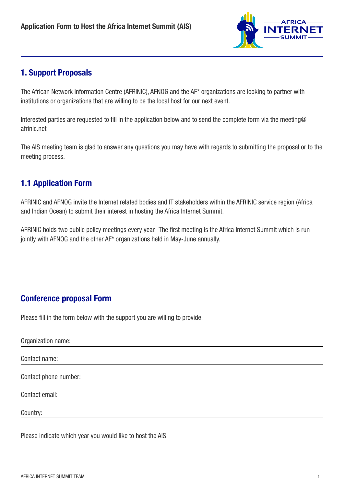

### 1. Support Proposals

The African Network Information Centre (AFRINIC), AFNOG and the AF\* organizations are looking to partner with institutions or organizations that are willing to be the local host for our next event.

Interested parties are requested to fill in the application below and to send the complete form via the [meeting@](mailto:meeting@afrinic.net) [afrinic.net](mailto:meeting@afrinic.net)

The AIS meeting team is glad to answer any questions you may have with regards to submitting the proposal or to the meeting process.

## 1.1 Application Form

AFRINIC and AFNOG invite the Internet related bodies and IT stakeholders within the AFRINIC service region (Africa and Indian Ocean) to submit their interest in hosting the Africa Internet Summit.

AFRINIC holds two public policy meetings every year. The first meeting is the Africa Internet Summit which is run jointly with AFNOG and the other AF\* organizations held in May-June annually.

# Conference proposal Form

Please fill in the form below with the support you are willing to provide.

| Organization name:    |  |  |
|-----------------------|--|--|
| Contact name:         |  |  |
| Contact phone number: |  |  |
| Contact email:        |  |  |
| Country:              |  |  |

Please indicate which year you would like to host the AIS: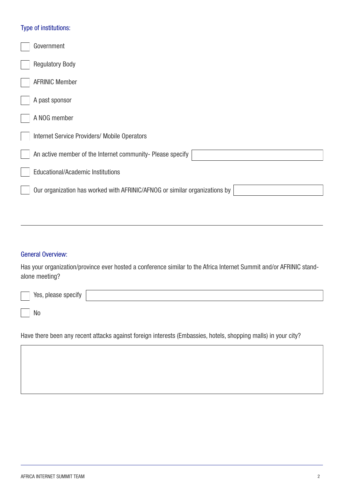### Type of institutions:

| Government                                                                 |
|----------------------------------------------------------------------------|
| <b>Regulatory Body</b>                                                     |
| <b>AFRINIC Member</b>                                                      |
| A past sponsor                                                             |
| A NOG member                                                               |
| <b>Internet Service Providers/ Mobile Operators</b>                        |
| An active member of the Internet community- Please specify                 |
| <b>Educational/Academic Institutions</b>                                   |
| Our organization has worked with AFRINIC/AFNOG or similar organizations by |
|                                                                            |

#### General Overview:

Has your organization/province ever hosted a conference similar to the Africa Internet Summit and/or AFRINIC standalone meeting?

| Yes, please specify |  |
|---------------------|--|
| N <sub>0</sub>      |  |

Have there been any recent attacks against foreign interests (Embassies, hotels, shopping malls) in your city?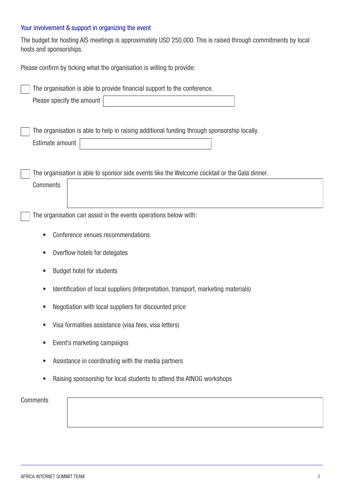### Your involvement & support in organizing the event

The budget for hosting AIS meetings is approximately USD 250,000. This is raised through commitments by local hosts and sponsorships.

Please confirm by ticking what the organisation is willing to provide:

| The organisation is able to provide financial support to the conference.                      |  |  |
|-----------------------------------------------------------------------------------------------|--|--|
| Please specify the amount                                                                     |  |  |
|                                                                                               |  |  |
| The organisation is able to help in raising additional funding through sponsorship locally.   |  |  |
| Estimate amount                                                                               |  |  |
| The organisation is able to sponsor side events like the Welcome cocktail or the Gala dinner. |  |  |
| <b>Comments</b>                                                                               |  |  |
|                                                                                               |  |  |
| The organisation can assist in the events operations below with:                              |  |  |
| Conference venues recommendations<br>$\bullet$                                                |  |  |
| Overflow hotels for delegates<br>$\bullet$                                                    |  |  |
| <b>Budget hotel for students</b><br>$\bullet$                                                 |  |  |
| Identification of local suppliers (Interpretation, transport, marketing materials)            |  |  |
| Negotiation with local suppliers for discounted price<br>$\bullet$                            |  |  |
| Visa formalities assistance (visa fees, visa letters)                                         |  |  |
| Event's marketing campaigns                                                                   |  |  |
| Assistance in coordinating with the media partners                                            |  |  |
| Raising sponsorship for local students to attend the AfNOG workshops                          |  |  |
| <b>Comments</b>                                                                               |  |  |
|                                                                                               |  |  |
|                                                                                               |  |  |